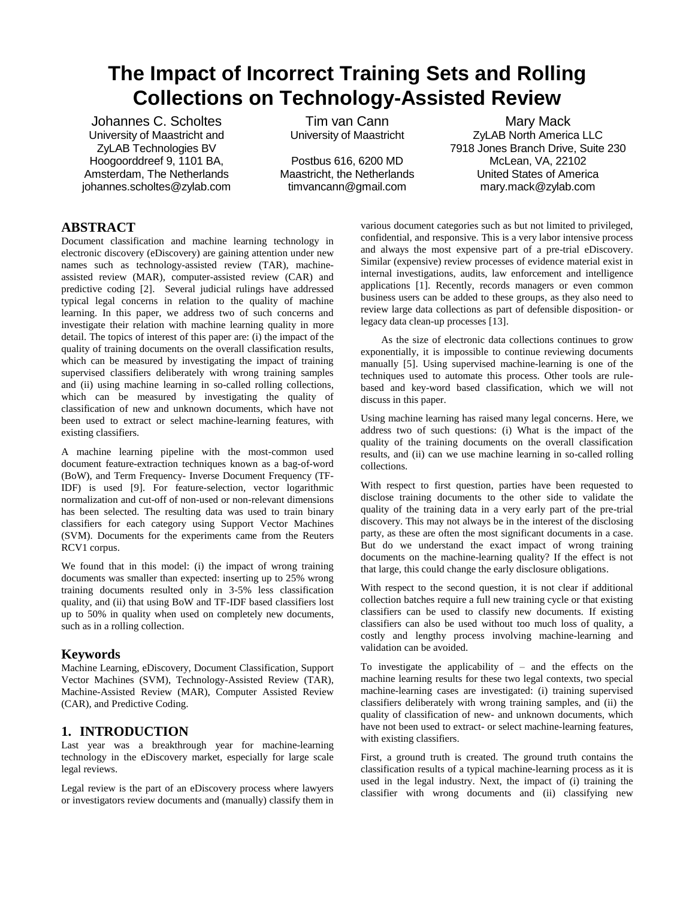# **The Impact of Incorrect Training Sets and Rolling Collections on Technology-Assisted Review**

Johannes C. Scholtes University of Maastricht and ZyLAB Technologies BV Hoogoorddreef 9, 1101 BA, Amsterdam, The Netherlands johannes.scholtes@zylab.com

Tim van Cann University of Maastricht

Postbus 616, 6200 MD Maastricht, the Netherlands timvancann@gmail.com

Mary Mack ZyLAB North America LLC 7918 Jones Branch Drive, Suite 230 McLean, VA, 22102 United States of America mary.mack@zylab.com

# **ABSTRACT**

Document classification and machine learning technology in electronic discovery (eDiscovery) are gaining attention under new names such as technology-assisted review (TAR), machineassisted review (MAR), computer-assisted review (CAR) and predictive coding [2]. Several judicial rulings have addressed typical legal concerns in relation to the quality of machine learning. In this paper, we address two of such concerns and investigate their relation with machine learning quality in more detail. The topics of interest of this paper are: (i) the impact of the quality of training documents on the overall classification results, which can be measured by investigating the impact of training supervised classifiers deliberately with wrong training samples and (ii) using machine learning in so-called rolling collections, which can be measured by investigating the quality of classification of new and unknown documents, which have not been used to extract or select machine-learning features, with existing classifiers.

A machine learning pipeline with the most-common used document feature-extraction techniques known as a bag-of-word (BoW), and Term Frequency- Inverse Document Frequency (TF-IDF) is used [9]. For feature-selection, vector logarithmic normalization and cut-off of non-used or non-relevant dimensions has been selected. The resulting data was used to train binary classifiers for each category using Support Vector Machines (SVM). Documents for the experiments came from the Reuters RCV1 corpus.

We found that in this model: (i) the impact of wrong training documents was smaller than expected: inserting up to 25% wrong training documents resulted only in 3-5% less classification quality, and (ii) that using BoW and TF-IDF based classifiers lost up to 50% in quality when used on completely new documents, such as in a rolling collection.

# **Keywords**

Machine Learning, eDiscovery, Document Classification, Support Vector Machines (SVM), Technology-Assisted Review (TAR), Machine-Assisted Review (MAR), Computer Assisted Review (CAR), and Predictive Coding.

# **1. INTRODUCTION**

Last year was a breakthrough year for machine-learning technology in the eDiscovery market, especially for large scale legal reviews.

Legal review is the part of an eDiscovery process where lawyers or investigators review documents and (manually) classify them in

various document categories such as but not limited to privileged, confidential, and responsive. This is a very labor intensive process and always the most expensive part of a pre-trial eDiscovery. Similar (expensive) review processes of evidence material exist in internal investigations, audits, law enforcement and intelligence applications [1]. Recently, records managers or even common business users can be added to these groups, as they also need to review large data collections as part of defensible disposition- or legacy data clean-up processes [13].

As the size of electronic data collections continues to grow exponentially, it is impossible to continue reviewing documents manually [5]. Using supervised machine-learning is one of the techniques used to automate this process. Other tools are rulebased and key-word based classification, which we will not discuss in this paper.

Using machine learning has raised many legal concerns. Here, we address two of such questions: (i) What is the impact of the quality of the training documents on the overall classification results, and (ii) can we use machine learning in so-called rolling collections.

With respect to first question, parties have been requested to disclose training documents to the other side to validate the quality of the training data in a very early part of the pre-trial discovery. This may not always be in the interest of the disclosing party, as these are often the most significant documents in a case. But do we understand the exact impact of wrong training documents on the machine-learning quality? If the effect is not that large, this could change the early disclosure obligations.

With respect to the second question, it is not clear if additional collection batches require a full new training cycle or that existing classifiers can be used to classify new documents. If existing classifiers can also be used without too much loss of quality, a costly and lengthy process involving machine-learning and validation can be avoided.

To investigate the applicability of – and the effects on the machine learning results for these two legal contexts, two special machine-learning cases are investigated: (i) training supervised classifiers deliberately with wrong training samples, and (ii) the quality of classification of new- and unknown documents, which have not been used to extract- or select machine-learning features, with existing classifiers.

First, a ground truth is created. The ground truth contains the classification results of a typical machine-learning process as it is used in the legal industry. Next, the impact of (i) training the classifier with wrong documents and (ii) classifying new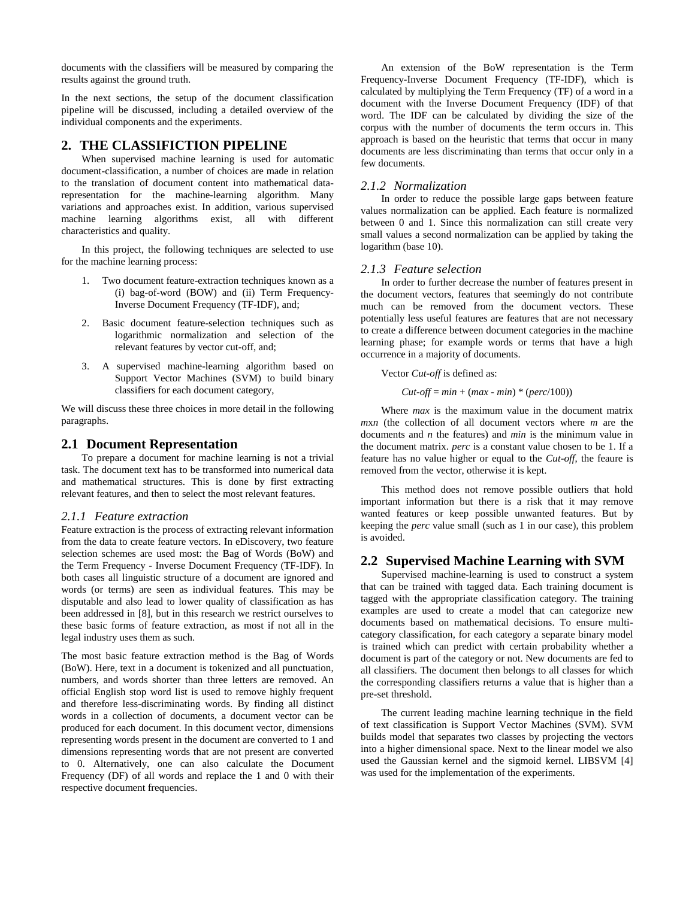documents with the classifiers will be measured by comparing the results against the ground truth.

In the next sections, the setup of the document classification pipeline will be discussed, including a detailed overview of the individual components and the experiments.

#### **2. THE CLASSIFICTION PIPELINE**

When supervised machine learning is used for automatic document-classification, a number of choices are made in relation to the translation of document content into mathematical datarepresentation for the machine-learning algorithm. Many variations and approaches exist. In addition, various supervised machine learning algorithms exist, all with different characteristics and quality.

In this project, the following techniques are selected to use for the machine learning process:

- 1. Two document feature-extraction techniques known as a (i) bag-of-word (BOW) and (ii) Term Frequency-Inverse Document Frequency (TF-IDF), and;
- 2. Basic document feature-selection techniques such as logarithmic normalization and selection of the relevant features by vector cut-off, and;
- 3. A supervised machine-learning algorithm based on Support Vector Machines (SVM) to build binary classifiers for each document category,

We will discuss these three choices in more detail in the following paragraphs.

#### **2.1 Document Representation**

To prepare a document for machine learning is not a trivial task. The document text has to be transformed into numerical data and mathematical structures. This is done by first extracting relevant features, and then to select the most relevant features.

#### *2.1.1 Feature extraction*

Feature extraction is the process of extracting relevant information from the data to create feature vectors. In eDiscovery, two feature selection schemes are used most: the Bag of Words (BoW) and the Term Frequency - Inverse Document Frequency (TF-IDF). In both cases all linguistic structure of a document are ignored and words (or terms) are seen as individual features. This may be disputable and also lead to lower quality of classification as has been addressed in [8], but in this research we restrict ourselves to these basic forms of feature extraction, as most if not all in the legal industry uses them as such.

The most basic feature extraction method is the Bag of Words (BoW). Here, text in a document is tokenized and all punctuation, numbers, and words shorter than three letters are removed. An official English stop word list is used to remove highly frequent and therefore less-discriminating words. By finding all distinct words in a collection of documents, a document vector can be produced for each document. In this document vector, dimensions representing words present in the document are converted to 1 and dimensions representing words that are not present are converted to 0. Alternatively, one can also calculate the Document Frequency (DF) of all words and replace the 1 and 0 with their respective document frequencies.

An extension of the BoW representation is the Term Frequency-Inverse Document Frequency (TF-IDF), which is calculated by multiplying the Term Frequency (TF) of a word in a document with the Inverse Document Frequency (IDF) of that word. The IDF can be calculated by dividing the size of the corpus with the number of documents the term occurs in. This approach is based on the heuristic that terms that occur in many documents are less discriminating than terms that occur only in a few documents.

#### *2.1.2 Normalization*

In order to reduce the possible large gaps between feature values normalization can be applied. Each feature is normalized between 0 and 1. Since this normalization can still create very small values a second normalization can be applied by taking the logarithm (base 10).

#### *2.1.3 Feature selection*

In order to further decrease the number of features present in the document vectors, features that seemingly do not contribute much can be removed from the document vectors. These potentially less useful features are features that are not necessary to create a difference between document categories in the machine learning phase; for example words or terms that have a high occurrence in a majority of documents.

#### Vector *Cut-off* is defined as:

 $Cut\text{-}off = min + (max - min) * (perc/100)$ 

Where *max* is the maximum value in the document matrix *m*x*n* (the collection of all document vectors where *m* are the documents and *n* the features) and *min* is the minimum value in the document matrix. *perc* is a constant value chosen to be 1. If a feature has no value higher or equal to the *Cut-off*, the feaure is removed from the vector, otherwise it is kept.

This method does not remove possible outliers that hold important information but there is a risk that it may remove wanted features or keep possible unwanted features. But by keeping the *perc* value small (such as 1 in our case), this problem is avoided.

#### **2.2 Supervised Machine Learning with SVM**

Supervised machine-learning is used to construct a system that can be trained with tagged data. Each training document is tagged with the appropriate classification category. The training examples are used to create a model that can categorize new documents based on mathematical decisions. To ensure multicategory classification, for each category a separate binary model is trained which can predict with certain probability whether a document is part of the category or not. New documents are fed to all classifiers. The document then belongs to all classes for which the corresponding classifiers returns a value that is higher than a pre-set threshold.

The current leading machine learning technique in the field of text classification is Support Vector Machines (SVM). SVM builds model that separates two classes by projecting the vectors into a higher dimensional space. Next to the linear model we also used the Gaussian kernel and the sigmoid kernel. LIBSVM [4] was used for the implementation of the experiments.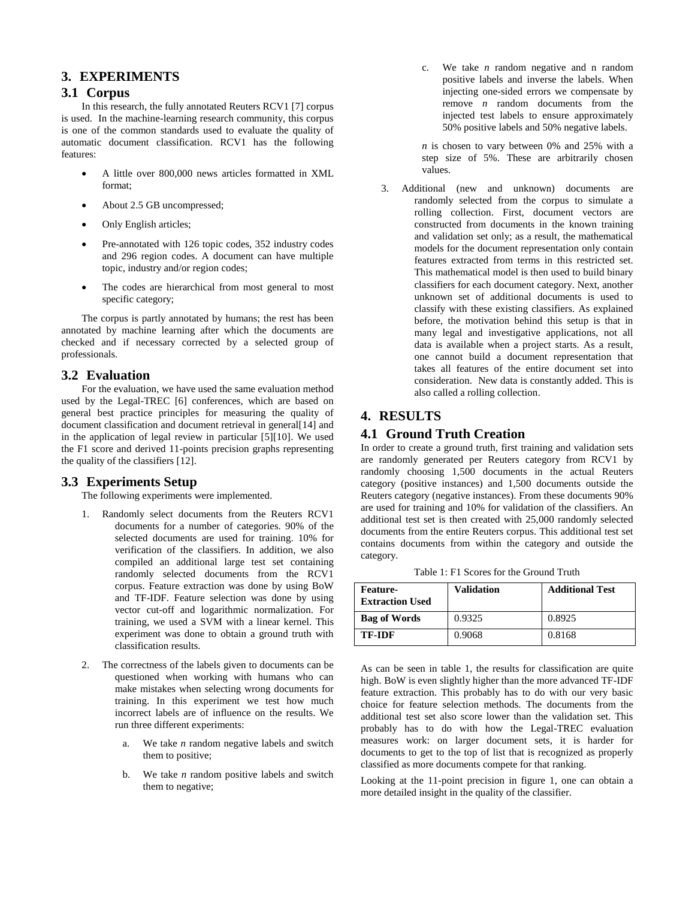## **3. EXPERIMENTS**

## **3.1 Corpus**

In this research, the fully annotated Reuters RCV1 [7] corpus is used. In the machine-learning research community, this corpus is one of the common standards used to evaluate the quality of automatic document classification. RCV1 has the following features:

- A little over 800,000 news articles formatted in XML format;
- About 2.5 GB uncompressed;
- Only English articles;
- Pre-annotated with 126 topic codes, 352 industry codes and 296 region codes. A document can have multiple topic, industry and/or region codes;
- The codes are hierarchical from most general to most specific category;

The corpus is partly annotated by humans; the rest has been annotated by machine learning after which the documents are checked and if necessary corrected by a selected group of professionals.

## **3.2 Evaluation**

For the evaluation, we have used the same evaluation method used by the Legal-TREC [6] conferences, which are based on general best practice principles for measuring the quality of document classification and document retrieval in general[14] and in the application of legal review in particular [5][10]. We used the F1 score and derived 11-points precision graphs representing the quality of the classifiers [12].

## **3.3 Experiments Setup**

The following experiments were implemented.

- 1. Randomly select documents from the Reuters RCV1 documents for a number of categories. 90% of the selected documents are used for training. 10% for verification of the classifiers. In addition, we also compiled an additional large test set containing randomly selected documents from the RCV1 corpus. Feature extraction was done by using BoW and TF-IDF. Feature selection was done by using vector cut-off and logarithmic normalization. For training, we used a SVM with a linear kernel. This experiment was done to obtain a ground truth with classification results.
- 2. The correctness of the labels given to documents can be questioned when working with humans who can make mistakes when selecting wrong documents for training. In this experiment we test how much incorrect labels are of influence on the results. We run three different experiments:
	- a. We take *n* random negative labels and switch them to positive;
	- b. We take *n* random positive labels and switch them to negative;

c. We take *n* random negative and n random positive labels and inverse the labels. When injecting one-sided errors we compensate by remove *n* random documents from the injected test labels to ensure approximately 50% positive labels and 50% negative labels.

*n* is chosen to vary between 0% and 25% with a step size of 5%. These are arbitrarily chosen values.

3. Additional (new and unknown) documents are randomly selected from the corpus to simulate a rolling collection. First, document vectors are constructed from documents in the known training and validation set only; as a result, the mathematical models for the document representation only contain features extracted from terms in this restricted set. This mathematical model is then used to build binary classifiers for each document category. Next, another unknown set of additional documents is used to classify with these existing classifiers. As explained before, the motivation behind this setup is that in many legal and investigative applications, not all data is available when a project starts. As a result, one cannot build a document representation that takes all features of the entire document set into consideration. New data is constantly added. This is also called a rolling collection.

# **4. RESULTS**

## **4.1 Ground Truth Creation**

In order to create a ground truth, first training and validation sets are randomly generated per Reuters category from RCV1 by randomly choosing 1,500 documents in the actual Reuters category (positive instances) and 1,500 documents outside the Reuters category (negative instances). From these documents 90% are used for training and 10% for validation of the classifiers. An additional test set is then created with 25,000 randomly selected documents from the entire Reuters corpus. This additional test set contains documents from within the category and outside the category.

Table 1: F1 Scores for the Ground Truth

| <b>Feature-</b><br><b>Extraction Used</b> | <b>Validation</b> | <b>Additional Test</b> |
|-------------------------------------------|-------------------|------------------------|
| <b>Bag of Words</b>                       | 0.9325            | 0.8925                 |
| <b>TF-IDF</b>                             | 0.9068            | 0.8168                 |

As can be seen in table 1, the results for classification are quite high. BoW is even slightly higher than the more advanced TF-IDF feature extraction. This probably has to do with our very basic choice for feature selection methods. The documents from the additional test set also score lower than the validation set. This probably has to do with how the Legal-TREC evaluation measures work: on larger document sets, it is harder for documents to get to the top of list that is recognized as properly classified as more documents compete for that ranking.

Looking at the 11-point precision in figure 1, one can obtain a more detailed insight in the quality of the classifier.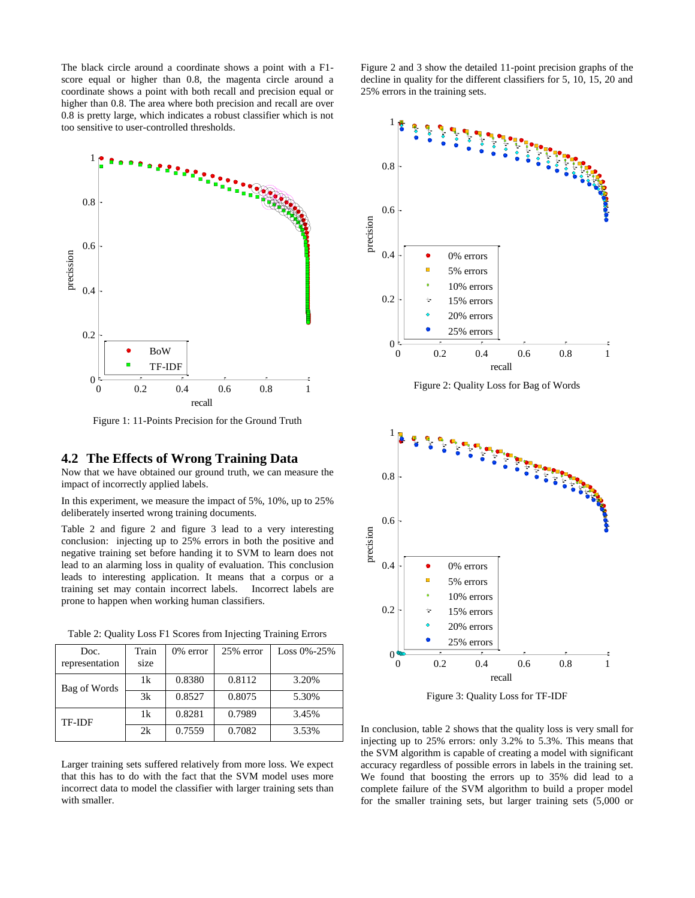The black circle around a coordinate shows a point with a F1 score equal or higher than 0.8, the magenta circle around a coordinate shows a point with both recall and precision equal or higher than 0.8. The area where both precision and recall are over 0.8 is pretty large, which indicates a robust classifier which is not too sensitive to user-controlled thresholds.



Figure 1: 11-Points Precision for the Ground Truth

#### **4.2 The Effects of Wrong Training Data**

Now that we have obtained our ground truth, we can measure the impact of incorrectly applied labels.

In this experiment, we measure the impact of 5%, 10%, up to 25% deliberately inserted wrong training documents.

Table 2 and figure 2 and figure 3 lead to a very interesting conclusion: injecting up to 25% errors in both the positive and negative training set before handing it to SVM to learn does not lead to an alarming loss in quality of evaluation. This conclusion leads to interesting application. It means that a corpus or a training set may contain incorrect labels. Incorrect labels are prone to happen when working human classifiers.

Table 2: Quality Loss F1 Scores from Injecting Training Errors

| Doc.<br>representation | Train<br>size | $0\%$ error | 25% error | $Loss 0\% - 25\%$ |
|------------------------|---------------|-------------|-----------|-------------------|
| Bag of Words           | 1k            | 0.8380      | 0.8112    | 3.20%             |
|                        | 3k            | 0.8527      | 0.8075    | 5.30%             |
| TF-IDF                 | 1k            | 0.8281      | 0.7989    | 3.45%             |
|                        | 2k            | 0.7559      | 0.7082    | 3.53%             |

Larger training sets suffered relatively from more loss. We expect that this has to do with the fact that the SVM model uses more incorrect data to model the classifier with larger training sets than with smaller.

Figure 2 and 3 show the detailed 11-point precision graphs of the decline in quality for the different classifiers for 5, 10, 15, 20 and 25% errors in the training sets.



Figure 2: Quality Loss for Bag of Words



Figure 3: Quality Loss for TF-IDF

In conclusion, table 2 shows that the quality loss is very small for injecting up to 25% errors: only 3.2% to 5.3%. This means that the SVM algorithm is capable of creating a model with significant accuracy regardless of possible errors in labels in the training set. We found that boosting the errors up to 35% did lead to a complete failure of the SVM algorithm to build a proper model for the smaller training sets, but larger training sets (5,000 or